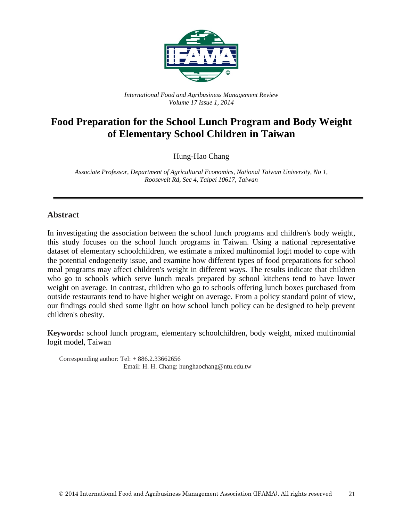

*International Food and Agribusiness Management Review Volume 17 Issue 1, 2014*

# **Food Preparation for the School Lunch Program and Body Weight of Elementary School Children in Taiwan**

Hung-Hao Chang

*Associate Professor, Department of Agricultural Economics, National Taiwan University, No 1, Roosevelt Rd, Sec 4, Taipei 10617, Taiwan*

### **Abstract**

In investigating the association between the school lunch programs and children's body weight, this study focuses on the school lunch programs in Taiwan. Using a national representative dataset of elementary schoolchildren, we estimate a mixed multinomial logit model to cope with the potential endogeneity issue, and examine how different types of food preparations for school meal programs may affect children's weight in different ways. The results indicate that children who go to schools which serve lunch meals prepared by school kitchens tend to have lower weight on average. In contrast, children who go to schools offering lunch boxes purchased from outside restaurants tend to have higher weight on average. From a policy standard point of view, our findings could shed some light on how school lunch policy can be designed to help prevent children's obesity.

**Keywords:** school lunch program, elementary schoolchildren, body weight, mixed multinomial logit model, Taiwan

Corresponding author: Tel:  $+ 886.2.33662656$ Email: H. H. Chang: hunghaochang@ntu.edu.tw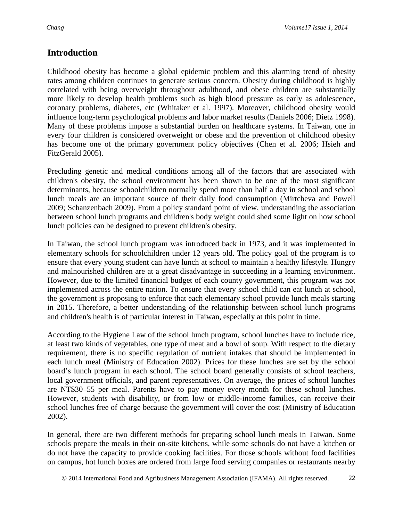### **Introduction**

Childhood obesity has become a global epidemic problem and this alarming trend of obesity rates among children continues to generate serious concern. Obesity during childhood is highly correlated with being overweight throughout adulthood, and obese children are substantially more likely to develop health problems such as high blood pressure as early as adolescence, coronary problems, diabetes, etc (Whitaker et al. 1997). Moreover, childhood obesity would influence long-term psychological problems and labor market results (Daniels 2006; Dietz 1998). Many of these problems impose a substantial burden on healthcare systems. In Taiwan, one in every four children is considered overweight or obese and the prevention of childhood obesity has become one of the primary government policy objectives (Chen et al. 2006; Hsieh and FitzGerald 2005).

Precluding genetic and medical conditions among all of the factors that are associated with children's obesity, the school environment has been shown to be one of the most significant determinants, because schoolchildren normally spend more than half a day in school and school lunch meals are an important source of their daily food consumption (Mirtcheva and Powell 2009; Schanzenbach 2009). From a policy standard point of view, understanding the association between school lunch programs and children's body weight could shed some light on how school lunch policies can be designed to prevent children's obesity.

In Taiwan, the school lunch program was introduced back in 1973, and it was implemented in elementary schools for schoolchildren under 12 years old. The policy goal of the program is to ensure that every young student can have lunch at school to maintain a healthy lifestyle. Hungry and malnourished children are at a great disadvantage in succeeding in a learning environment. However, due to the limited financial budget of each county government, this program was not implemented across the entire nation. To ensure that every school child can eat lunch at school, the government is proposing to enforce that each elementary school provide lunch meals starting in 2015. Therefore, a better understanding of the relationship between school lunch programs and children's health is of particular interest in Taiwan, especially at this point in time.

According to the Hygiene Law of the school lunch program, school lunches have to include rice, at least two kinds of vegetables, one type of meat and a bowl of soup. With respect to the dietary requirement, there is no specific regulation of nutrient intakes that should be implemented in each lunch meal (Ministry of Education 2002). Prices for these lunches are set by the school board's lunch program in each school. The school board generally consists of school teachers, local government officials, and parent representatives. On average, the prices of school lunches are NT\$30–55 per meal. Parents have to pay money every month for these school lunches. However, students with disability, or from low or middle-income families, can receive their school lunches free of charge because the government will cover the cost (Ministry of Education 2002).

In general, there are two different methods for preparing school lunch meals in Taiwan. Some schools prepare the meals in their on-site kitchens, while some schools do not have a kitchen or do not have the capacity to provide cooking facilities. For those schools without food facilities on campus, hot lunch boxes are ordered from large food serving companies or restaurants nearby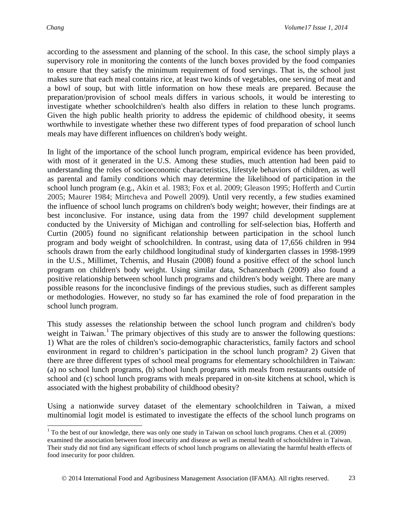according to the assessment and planning of the school. In this case, the school simply plays a supervisory role in monitoring the contents of the lunch boxes provided by the food companies to ensure that they satisfy the minimum requirement of food servings. That is, the school just makes sure that each meal contains rice, at least two kinds of vegetables, one serving of meat and a bowl of soup, but with little information on how these meals are prepared. Because the preparation/provision of school meals differs in various schools, it would be interesting to investigate whether schoolchildren's health also differs in relation to these lunch programs. Given the high public health priority to address the epidemic of childhood obesity, it seems worthwhile to investigate whether these two different types of food preparation of school lunch meals may have different influences on children's body weight.

In light of the importance of the school lunch program, empirical evidence has been provided, with most of it generated in the U.S. Among these studies, much attention had been paid to understanding the roles of socioeconomic characteristics, lifestyle behaviors of children, as well as parental and family conditions which may determine the likelihood of participation in the school lunch program (e.g., Akin et al. 1983; Fox et al. 2009; Gleason 1995; Hofferth and Curtin 2005; Maurer 1984; Mirtcheva and Powell 2009). Until very recently, a few studies examined the influence of school lunch programs on children's body weight; however, their findings are at best inconclusive. For instance, using data from the 1997 child development supplement conducted by the University of Michigan and controlling for self-selection bias, Hofferth and Curtin (2005) found no significant relationship between participation in the school lunch program and body weight of schoolchildren. In contrast, using data of 17,656 children in 994 schools drawn from the early childhood longitudinal study of kindergarten classes in 1998-1999 in the U.S., Millimet, Tchernis, and Husain (2008) found a positive effect of the school lunch program on children's body weight. Using similar data, Schanzenbach (2009) also found a positive relationship between school lunch programs and children's body weight. There are many possible reasons for the inconclusive findings of the previous studies, such as different samples or methodologies. However, no study so far has examined the role of food preparation in the school lunch program.

This study assesses the relationship between the school lunch program and children's body weight in Taiwan.<sup>[1](#page-2-0)</sup> The primary objectives of this study are to answer the following questions: 1) What are the roles of children's socio-demographic characteristics, family factors and school environment in regard to children's participation in the school lunch program? 2) Given that there are three different types of school meal programs for elementary schoolchildren in Taiwan: (a) no school lunch programs, (b) school lunch programs with meals from restaurants outside of school and (c) school lunch programs with meals prepared in on-site kitchens at school, which is associated with the highest probability of childhood obesity?

Using a nationwide survey dataset of the elementary schoolchildren in Taiwan, a mixed multinomial logit model is estimated to investigate the effects of the school lunch programs on

<span id="page-2-0"></span><sup>&</sup>lt;sup>1</sup> To the best of our knowledge, there was only one study in Taiwan on school lunch programs. Chen et al. (2009) examined the association between food insecurity and disease as well as mental health of schoolchildren in Taiwan. Their study did not find any significant effects of school lunch programs on alleviating the harmful health effects of food insecurity for poor children.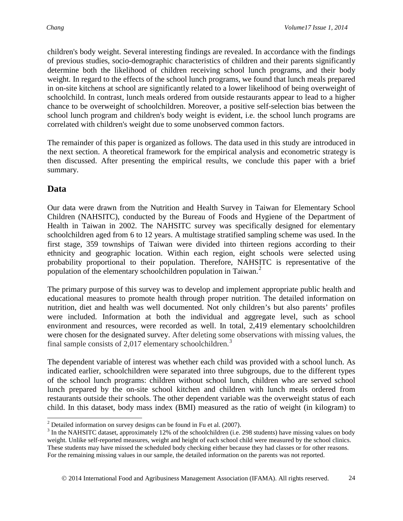children's body weight. Several interesting findings are revealed. In accordance with the findings of previous studies, socio-demographic characteristics of children and their parents significantly determine both the likelihood of children receiving school lunch programs, and their body weight. In regard to the effects of the school lunch programs, we found that lunch meals prepared in on-site kitchens at school are significantly related to a lower likelihood of being overweight of schoolchild. In contrast, lunch meals ordered from outside restaurants appear to lead to a higher chance to be overweight of schoolchildren. Moreover, a positive self-selection bias between the school lunch program and children's body weight is evident, i.e. the school lunch programs are correlated with children's weight due to some unobserved common factors.

The remainder of this paper is organized as follows. The data used in this study are introduced in the next section. A theoretical framework for the empirical analysis and econometric strategy is then discussed. After presenting the empirical results, we conclude this paper with a brief summary.

# **Data**

Our data were drawn from the Nutrition and Health Survey in Taiwan for Elementary School Children (NAHSITC), conducted by the Bureau of Foods and Hygiene of the Department of Health in Taiwan in 2002. The NAHSITC survey was specifically designed for elementary schoolchildren aged from 6 to 12 years. A multistage stratified sampling scheme was used. In the first stage, 359 townships of Taiwan were divided into thirteen regions according to their ethnicity and geographic location. Within each region, eight schools were selected using probability proportional to their population. Therefore, NAHSITC is representative of the population of the elementary schoolchildren population in Taiwan.<sup>[2](#page-3-0)</sup>

The primary purpose of this survey was to develop and implement appropriate public health and educational measures to promote health through proper nutrition. The detailed information on nutrition, diet and health was well documented. Not only children's but also parents' profiles were included. Information at both the individual and aggregate level, such as school environment and resources, were recorded as well. In total, 2,419 elementary schoolchildren were chosen for the designated survey. After deleting some observations with missing values, the final sample consists of 2,017 elementary schoolchildren.<sup>[3](#page-3-1)</sup>

The dependent variable of interest was whether each child was provided with a school lunch. As indicated earlier, schoolchildren were separated into three subgroups, due to the different types of the school lunch programs: children without school lunch, children who are served school lunch prepared by the on-site school kitchen and children with lunch meals ordered from restaurants outside their schools. The other dependent variable was the overweight status of each child. In this dataset, body mass index (BMI) measured as the ratio of weight (in kilogram) to

<span id="page-3-1"></span><span id="page-3-0"></span><sup>&</sup>lt;sup>2</sup> Detailed information on survey designs can be found in Fu et al. (2007).<br><sup>3</sup> In the NAHSITC dataset, approximately 12% of the schoolchildren (i.e. 298 students) have missing values on body weight. Unlike self-reported measures, weight and height of each school child were measured by the school clinics. These students may have missed the scheduled body checking either because they had classes or for other reasons. For the remaining missing values in our sample, the detailed information on the parents was not reported.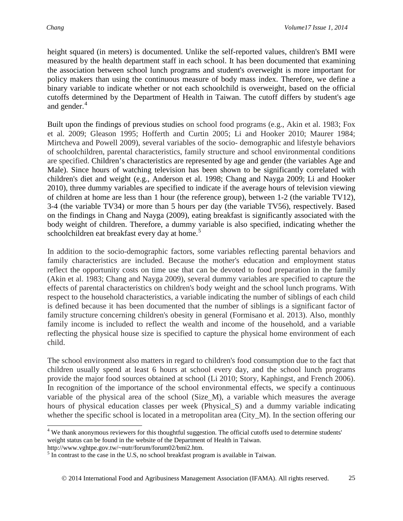height squared (in meters) is documented. Unlike the self-reported values, children's BMI were measured by the health department staff in each school. It has been documented that examining the association between school lunch programs and student's overweight is more important for policy makers than using the continuous measure of body mass index. Therefore, we define a binary variable to indicate whether or not each schoolchild is overweight, based on the official cutoffs determined by the Department of Health in Taiwan. The cutoff differs by student's age and gender.<sup>[4](#page-4-0)</sup>

Built upon the findings of previous studies on school food programs (e.g., Akin et al. 1983; Fox et al. 2009; Gleason 1995; Hofferth and Curtin 2005; Li and Hooker 2010; Maurer 1984; Mirtcheva and Powell 2009), several variables of the socio- demographic and lifestyle behaviors of schoolchildren, parental characteristics, family structure and school environmental conditions are specified. Children's characteristics are represented by age and gender (the variables Age and Male). Since hours of watching television has been shown to be significantly correlated with children's diet and weight (e.g., Anderson et al. 1998; Chang and Nayga 2009; Li and Hooker 2010), three dummy variables are specified to indicate if the average hours of television viewing of children at home are less than 1 hour (the reference group), between 1-2 (the variable TV12), 3-4 (the variable TV34) or more than 5 hours per day (the variable TV56), respectively. Based on the findings in Chang and Nayga (2009), eating breakfast is significantly associated with the body weight of children. Therefore, a dummy variable is also specified, indicating whether the schoolchildren eat breakfast every day at home.<sup>[5](#page-4-1)</sup>

In addition to the socio-demographic factors, some variables reflecting parental behaviors and family characteristics are included. Because the mother's education and employment status reflect the opportunity costs on time use that can be devoted to food preparation in the family (Akin et al. 1983; Chang and Nayga 2009), several dummy variables are specified to capture the effects of parental characteristics on children's body weight and the school lunch programs. With respect to the household characteristics, a variable indicating the number of siblings of each child is defined because it has been documented that the number of siblings is a significant factor of family structure concerning children's obesity in general (Formisano et al. 2013). Also, monthly family income is included to reflect the wealth and income of the household, and a variable reflecting the physical house size is specified to capture the physical home environment of each child.

The school environment also matters in regard to children's food consumption due to the fact that children usually spend at least 6 hours at school every day, and the school lunch programs provide the major food sources obtained at school (Li 2010; Story, Kaphingst, and French 2006). In recognition of the importance of the school environmental effects, we specify a continuous variable of the physical area of the school (Size\_M), a variable which measures the average hours of physical education classes per week (Physical S) and a dummy variable indicating whether the specific school is located in a metropolitan area (City\_M). In the section offering our

<span id="page-4-0"></span><sup>&</sup>lt;sup>4</sup> We thank anonymous reviewers for this thoughtful suggestion. The official cutoffs used to determine students' weight status can be found in the website of the Department of Health in Taiwan.

http://www.vghtpe.gov.tw/~nutr/forum/forum02/bmi2.htm.

<span id="page-4-1"></span><sup>&</sup>lt;sup>5</sup> In contrast to the case in the U.S, no school breakfast program is available in Taiwan.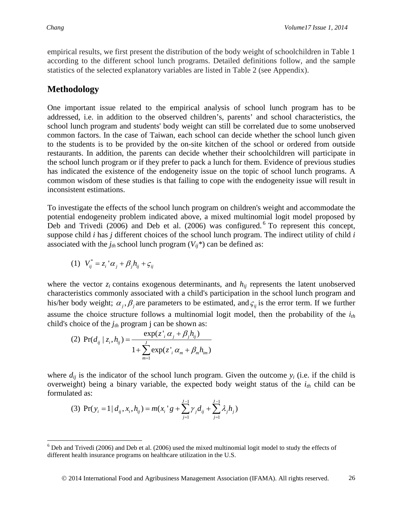empirical results, we first present the distribution of the body weight of schoolchildren in Table 1 according to the different school lunch programs. Detailed definitions follow, and the sample statistics of the selected explanatory variables are listed in Table 2 (see Appendix).

### **Methodology**

One important issue related to the empirical analysis of school lunch program has to be addressed, i.e. in addition to the observed children's, parents' and school characteristics, the school lunch program and students' body weight can still be correlated due to some unobserved common factors. In the case of Taiwan, each school can decide whether the school lunch given to the students is to be provided by the on-site kitchen of the school or ordered from outside restaurants. In addition, the parents can decide whether their schoolchildren will participate in the school lunch program or if they prefer to pack a lunch for them. Evidence of previous studies has indicated the existence of the endogeneity issue on the topic of school lunch programs. A common wisdom of these studies is that failing to cope with the endogeneity issue will result in inconsistent estimations.

To investigate the effects of the school lunch program on children's weight and accommodate the potential endogeneity problem indicated above, a mixed multinomial logit model proposed by Deb and Trivedi (200[6](#page-5-0)) and Deb et al. (2006) was configured. <sup>6</sup> To represent this concept, suppose child *i* has *j* different choices of the school lunch program. The indirect utility of child *i* associated with the  $j_{th}$  school lunch program  $(V_{ii}^*)$  can be defined as:

(1) 
$$
V_{ij}^* = z_i' \alpha_j + \beta_j h_{ij} + \zeta_{ij}
$$

where the vector  $z_i$  contains exogenous determinants, and  $h_{ij}$  represents the latent unobserved characteristics commonly associated with a child's participation in the school lunch program and his/her body weight;  $\alpha_i$ ,  $\beta_i$  are parameters to be estimated, and  $\zeta_{ii}$  is the error term. If we further assume the choice structure follows a multinomial logit model, then the probability of the *ith* child's choice of the *jth* program j can be shown as:

(2) 
$$
\Pr(d_{ij} | z_i, h_{ij}) = \frac{\exp(z_i \alpha_j + \beta_j h_{ij})}{1 + \sum_{m=1}^{J} \exp(z_i \alpha_m + \beta_m h_{im})}
$$

where  $d_{ij}$  is the indicator of the school lunch program. Given the outcome  $y_i$  (i.e. if the child is overweight) being a binary variable, the expected body weight status of the  $i_{th}$  child can be formulated as:

(3) 
$$
\Pr(y_i = 1 | d_{ij}, x_i, h_{ij}) = m(x_i \circ g + \sum_{j=1}^{J-1} \gamma_j d_{ij} + \sum_{j=1}^{J-1} \lambda_j h_j)
$$

<span id="page-5-0"></span> <sup>6</sup> Deb and Trivedi (2006) and Deb et al. (2006) used the mixed multinomial logit model to study the effects of different health insurance programs on healthcare utilization in the U.S.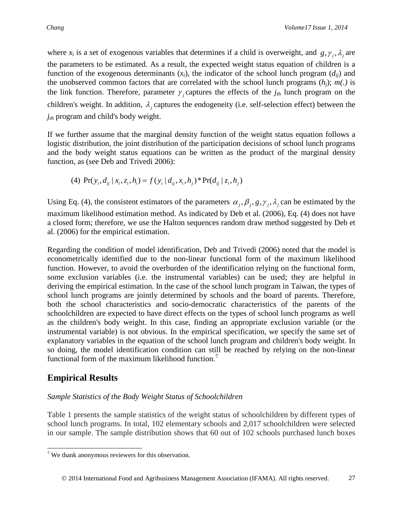where  $x_i$  is a set of exogenous variables that determines if a child is overweight, and  $g, \gamma_i, \lambda_i$  are the parameters to be estimated. As a result, the expected weight status equation of children is a function of the exogenous determinants (*xi*), the indicator of the school lunch program (*dij*) and the unobserved common factors that are correlated with the school lunch programs  $(h_i)$ ;  $m(.)$  is the link function. Therefore, parameter  $\gamma$  captures the effects of the  $j_{th}$  lunch program on the children's weight. In addition,  $\lambda_i$  captures the endogeneity (i.e. self-selection effect) between the *jth* program and child's body weight.

If we further assume that the marginal density function of the weight status equation follows a logistic distribution, the joint distribution of the participation decisions of school lunch programs and the body weight status equations can be written as the product of the marginal density function, as (see Deb and Trivedi 2006):

(4) 
$$
\Pr(y_i, d_{ij} | x_i, z_i, h_i) = f(y_i | d_{ij}, x_i, h_j)^* \Pr(d_{ij} | z_i, h_j)
$$

Using Eq. (4), the consistent estimators of the parameters  $\alpha_j$ ,  $\beta_j$ ,  $g$ ,  $\gamma_j$ ,  $\lambda_j$  can be estimated by the maximum likelihood estimation method. As indicated by Deb et al. (2006), Eq. (4) does not have a closed form; therefore, we use the Halton sequences random draw method suggested by Deb et al. (2006) for the empirical estimation.

Regarding the condition of model identification, Deb and Trivedi (2006) noted that the model is econometrically identified due to the non-linear functional form of the maximum likelihood function. However, to avoid the overburden of the identification relying on the functional form, some exclusion variables (i.e. the instrumental variables) can be used; they are helpful in deriving the empirical estimation. In the case of the school lunch program in Taiwan, the types of school lunch programs are jointly determined by schools and the board of parents. Therefore, both the school characteristics and socio-democratic characteristics of the parents of the schoolchildren are expected to have direct effects on the types of school lunch programs as well as the children's body weight. In this case, finding an appropriate exclusion variable (or the instrumental variable) is not obvious. In the empirical specification, we specify the same set of explanatory variables in the equation of the school lunch program and children's body weight. In so doing, the model identification condition can still be reached by relying on the non-linear functional form of the maximum likelihood function.<sup>[7](#page-6-0)</sup>

# **Empirical Results**

### *Sample Statistics of the Body Weight Status of Schoolchildren*

Table 1 presents the sample statistics of the weight status of schoolchildren by different types of school lunch programs. In total, 102 elementary schools and 2,017 schoolchildren were selected in our sample. The sample distribution shows that 60 out of 102 schools purchased lunch boxes

<span id="page-6-0"></span> $7$  We thank anonymous reviewers for this observation.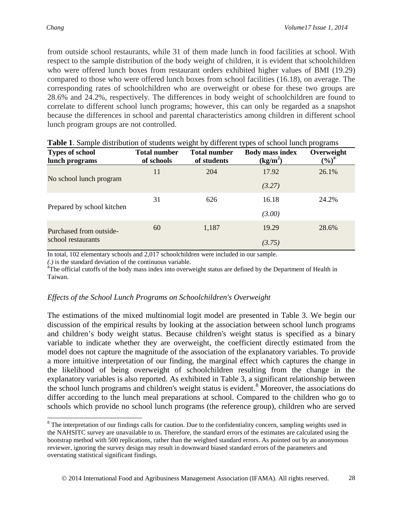from outside school restaurants, while 31 of them made lunch in food facilities at school. With respect to the sample distribution of the body weight of children, it is evident that schoolchildren who were offered lunch boxes from restaurant orders exhibited higher values of BMI (19.29) compared to those who were offered lunch boxes from school facilities (16.18), on average. The corresponding rates of schoolchildren who are overweight or obese for these two groups are 28.6% and 24.2%, respectively. The differences in body weight of schoolchildren are found to correlate to different school lunch programs; however, this can only be regarded as a snapshot because the differences in school and parental characteristics among children in different school lunch program groups are not controlled.

| <b>Types of school</b><br>lunch programs | <b>Total number</b><br>of schools | <b>Total number</b><br>of students | <b>Body mass index</b><br>(kg/m <sup>2</sup> ) | Overweight<br>$(\%)^{\#}$ |
|------------------------------------------|-----------------------------------|------------------------------------|------------------------------------------------|---------------------------|
|                                          | 11                                | 204                                | 17.92                                          | 26.1%                     |
| No school lunch program                  |                                   |                                    | (3.27)                                         |                           |
|                                          | 31                                | 626                                | 16.18                                          | 24.2%                     |
| Prepared by school kitchen               |                                   |                                    | (3.00)                                         |                           |
| Purchased from outside-                  | 60                                | 1,187                              | 19.29                                          | 28.6%                     |
| school restaurants                       |                                   |                                    | (3.75)                                         |                           |

| Table 1. Sample distribution of students weight by different types of school lunch programs |
|---------------------------------------------------------------------------------------------|
|---------------------------------------------------------------------------------------------|

In total, 102 elementary schools and 2,017 schoolchildren were included in our sample.

*(.)* is the standard deviation of the continuous variable. #

The official cutoffs of the body mass index into overweight status are defined by the Department of Health in Taiwan.

#### *Effects of the School Lunch Programs on Schoolchildren's Overweight*

The estimations of the mixed multinomial logit model are presented in Table 3. We begin our discussion of the empirical results by looking at the association between school lunch programs and children's body weight status. Because children's weight status is specified as a binary variable to indicate whether they are overweight, the coefficient directly estimated from the model does not capture the magnitude of the association of the explanatory variables. To provide a more intuitive interpretation of our finding, the marginal effect which captures the change in the likelihood of being overweight of schoolchildren resulting from the change in the explanatory variables is also reported. As exhibited in Table 3, a significant relationship between the school lunch programs and children's weight status is evident.<sup>[8](#page-7-0)</sup> Moreover, the associations do differ according to the lunch meal preparations at school. Compared to the children who go to schools which provide no school lunch programs (the reference group), children who are served

<span id="page-7-0"></span><sup>&</sup>lt;sup>8</sup> The interpretation of our findings calls for caution. Due to the confidentiality concern, sampling weights used in the NAHSITC survey are unavailable to us. Therefore, the standard errors of the estimates are calculated using the bootstrap method with 500 replications, rather than the weighted standard errors. As pointed out by an anonymous reviewer, ignoring the survey design may result in downward biased standard errors of the parameters and overstating statistical significant findings.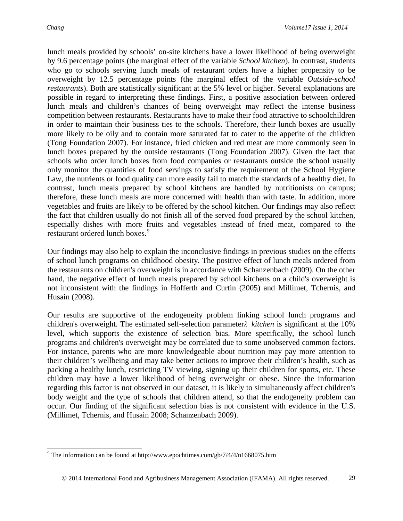lunch meals provided by schools' on-site kitchens have a lower likelihood of being overweight by 9.6 percentage points (the marginal effect of the variable *School kitchen*). In contrast, students who go to schools serving lunch meals of restaurant orders have a higher propensity to be overweight by 12.5 percentage points (the marginal effect of the variable *Outside-school restaurants*). Both are statistically significant at the 5% level or higher. Several explanations are possible in regard to interpreting these findings. First, a positive association between ordered lunch meals and children's chances of being overweight may reflect the intense business competition between restaurants. Restaurants have to make their food attractive to schoolchildren in order to maintain their business ties to the schools. Therefore, their lunch boxes are usually more likely to be oily and to contain more saturated fat to cater to the appetite of the children (Tong Foundation 2007). For instance, fried chicken and red meat are more commonly seen in lunch boxes prepared by the outside restaurants (Tong Foundation 2007). Given the fact that schools who order lunch boxes from food companies or restaurants outside the school usually only monitor the quantities of food servings to satisfy the requirement of the School Hygiene Law, the nutrients or food quality can more easily fail to match the standards of a healthy diet. In contrast, lunch meals prepared by school kitchens are handled by nutritionists on campus; therefore, these lunch meals are more concerned with health than with taste. In addition, more vegetables and fruits are likely to be offered by the school kitchen. Our findings may also reflect the fact that children usually do not finish all of the served food prepared by the school kitchen, especially dishes with more fruits and vegetables instead of fried meat, compared to the restaurant ordered lunch boxes.<sup>[9](#page-8-0)</sup>

Our findings may also help to explain the inconclusive findings in previous studies on the effects of school lunch programs on childhood obesity. The positive effect of lunch meals ordered from the restaurants on children's overweight is in accordance with Schanzenbach (2009). On the other hand, the negative effect of lunch meals prepared by school kitchens on a child's overweight is not inconsistent with the findings in Hofferth and Curtin (2005) and Millimet, Tchernis, and Husain (2008).

Our results are supportive of the endogeneity problem linking school lunch programs and children's overweight. The estimated self-selection parameter*λ\_kitchen* is significant at the 10% level, which supports the existence of selection bias. More specifically, the school lunch programs and children's overweight may be correlated due to some unobserved common factors. For instance, parents who are more knowledgeable about nutrition may pay more attention to their children's wellbeing and may take better actions to improve their children's health, such as packing a healthy lunch, restricting TV viewing, signing up their children for sports, etc. These children may have a lower likelihood of being overweight or obese. Since the information regarding this factor is not observed in our dataset, it is likely to simultaneously affect children's body weight and the type of schools that children attend, so that the endogeneity problem can occur. Our finding of the significant selection bias is not consistent with evidence in the U.S. (Millimet, Tchernis, and Husain 2008; Schanzenbach 2009).

<span id="page-8-0"></span><sup>&</sup>lt;sup>9</sup> The information can be found at http://www.epochtimes.com/gb/7/4/4/n1668075.htm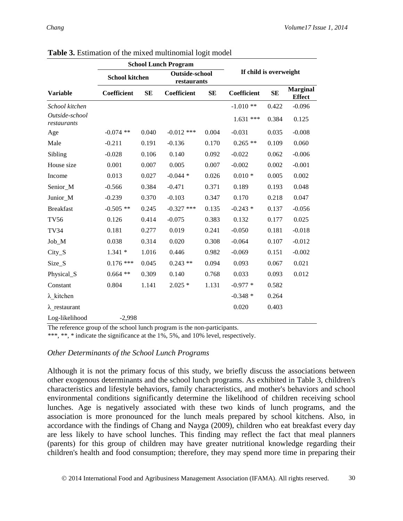|                               |                       |       | <b>School Lunch Program</b>          |       |                        |           |                                  |
|-------------------------------|-----------------------|-------|--------------------------------------|-------|------------------------|-----------|----------------------------------|
|                               | <b>School kitchen</b> |       | <b>Outside-school</b><br>restaurants |       | If child is overweight |           |                                  |
| <b>Variable</b>               | Coefficient           | SE    | Coefficient                          | SE    | Coefficient            | <b>SE</b> | <b>Marginal</b><br><b>Effect</b> |
| School kitchen                |                       |       |                                      |       | $-1.010**$             | 0.422     | $-0.096$                         |
| Outside-school<br>restaurants |                       |       |                                      |       | $1.631$ ***            | 0.384     | 0.125                            |
| Age                           | $-0.074$ **           | 0.040 | $-0.012$ ***                         | 0.004 | $-0.031$               | 0.035     | $-0.008$                         |
| Male                          | $-0.211$              | 0.191 | $-0.136$                             | 0.170 | $0.265$ **             | 0.109     | 0.060                            |
| Sibling                       | $-0.028$              | 0.106 | 0.140                                | 0.092 | $-0.022$               | 0.062     | $-0.006$                         |
| House size                    | 0.001                 | 0.007 | 0.005                                | 0.007 | $-0.002$               | 0.002     | $-0.001$                         |
| Income                        | 0.013                 | 0.027 | $-0.044*$                            | 0.026 | $0.010*$               | 0.005     | 0.002                            |
| Senior_M                      | $-0.566$              | 0.384 | $-0.471$                             | 0.371 | 0.189                  | 0.193     | 0.048                            |
| Junior_M                      | $-0.239$              | 0.370 | $-0.103$                             | 0.347 | 0.170                  | 0.218     | 0.047                            |
| <b>Breakfast</b>              | $-0.505$ **           | 0.245 | $-0.327$ ***                         | 0.135 | $-0.243*$              | 0.137     | $-0.056$                         |
| <b>TV56</b>                   | 0.126                 | 0.414 | $-0.075$                             | 0.383 | 0.132                  | 0.177     | 0.025                            |
| <b>TV34</b>                   | 0.181                 | 0.277 | 0.019                                | 0.241 | $-0.050$               | 0.181     | $-0.018$                         |
| Job_M                         | 0.038                 | 0.314 | 0.020                                | 0.308 | $-0.064$               | 0.107     | $-0.012$                         |
| $City_S$                      | $1.341*$              | 1.016 | 0.446                                | 0.982 | $-0.069$               | 0.151     | $-0.002$                         |
| Size_S                        | $0.176$ ***           | 0.045 | $0.243**$                            | 0.094 | 0.093                  | 0.067     | 0.021                            |
| Physical_S                    | $0.664$ **            | 0.309 | 0.140                                | 0.768 | 0.033                  | 0.093     | 0.012                            |
| Constant                      | 0.804                 | 1.141 | $2.025*$                             | 1.131 | $-0.977*$              | 0.582     |                                  |
| $\lambda$ kitchen             |                       |       |                                      |       | $-0.348*$              | 0.264     |                                  |
| $\lambda$ restaurant          |                       |       |                                      |       | 0.020                  | 0.403     |                                  |
| Log-likelihood                | $-2,998$              |       |                                      |       |                        |           |                                  |

**Table 3.** Estimation of the mixed multinomial logit model

The reference group of the school lunch program is the non-participants.

\*\*\*, \*\*, \* indicate the significance at the 1%, 5%, and 10% level, respectively.

#### *Other Determinants of the School Lunch Programs*

Although it is not the primary focus of this study, we briefly discuss the associations between other exogenous determinants and the school lunch programs. As exhibited in Table 3, children's characteristics and lifestyle behaviors, family characteristics, and mother's behaviors and school environmental conditions significantly determine the likelihood of children receiving school lunches. Age is negatively associated with these two kinds of lunch programs, and the association is more pronounced for the lunch meals prepared by school kitchens. Also, in accordance with the findings of Chang and Nayga (2009), children who eat breakfast every day are less likely to have school lunches. This finding may reflect the fact that meal planners (parents) for this group of children may have greater nutritional knowledge regarding their children's health and food consumption; therefore, they may spend more time in preparing their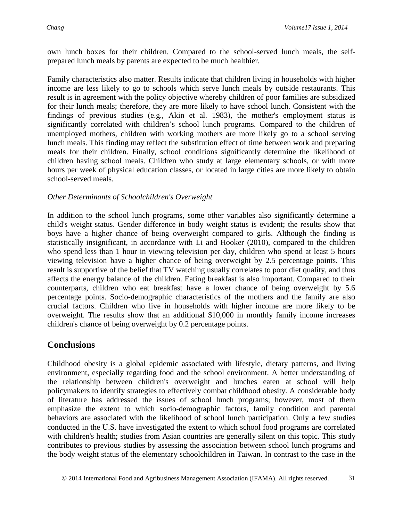own lunch boxes for their children. Compared to the school-served lunch meals, the selfprepared lunch meals by parents are expected to be much healthier.

Family characteristics also matter. Results indicate that children living in households with higher income are less likely to go to schools which serve lunch meals by outside restaurants. This result is in agreement with the policy objective whereby children of poor families are subsidized for their lunch meals; therefore, they are more likely to have school lunch. Consistent with the findings of previous studies (e.g., Akin et al. 1983), the mother's employment status is significantly correlated with children's school lunch programs. Compared to the children of unemployed mothers, children with working mothers are more likely go to a school serving lunch meals. This finding may reflect the substitution effect of time between work and preparing meals for their children. Finally, school conditions significantly determine the likelihood of children having school meals. Children who study at large elementary schools, or with more hours per week of physical education classes, or located in large cities are more likely to obtain school-served meals.

### *Other Determinants of Schoolchildren's Overweight*

In addition to the school lunch programs, some other variables also significantly determine a child's weight status. Gender difference in body weight status is evident; the results show that boys have a higher chance of being overweight compared to girls. Although the finding is statistically insignificant, in accordance with Li and Hooker (2010), compared to the children who spend less than 1 hour in viewing television per day, children who spend at least 5 hours viewing television have a higher chance of being overweight by 2.5 percentage points. This result is supportive of the belief that TV watching usually correlates to poor diet quality, and thus affects the energy balance of the children. Eating breakfast is also important. Compared to their counterparts, children who eat breakfast have a lower chance of being overweight by 5.6 percentage points. Socio-demographic characteristics of the mothers and the family are also crucial factors. Children who live in households with higher income are more likely to be overweight. The results show that an additional \$10,000 in monthly family income increases children's chance of being overweight by 0.2 percentage points.

# **Conclusions**

Childhood obesity is a global epidemic associated with lifestyle, dietary patterns, and living environment, especially regarding food and the school environment. A better understanding of the relationship between children's overweight and lunches eaten at school will help policymakers to identify strategies to effectively combat childhood obesity. A considerable body of literature has addressed the issues of school lunch programs; however, most of them emphasize the extent to which socio-demographic factors, family condition and parental behaviors are associated with the likelihood of school lunch participation. Only a few studies conducted in the U.S. have investigated the extent to which school food programs are correlated with children's health; studies from Asian countries are generally silent on this topic. This study contributes to previous studies by assessing the association between school lunch programs and the body weight status of the elementary schoolchildren in Taiwan. In contrast to the case in the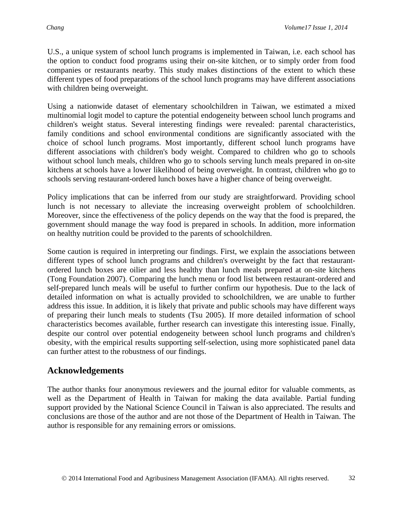U.S., a unique system of school lunch programs is implemented in Taiwan, i.e. each school has the option to conduct food programs using their on-site kitchen, or to simply order from food companies or restaurants nearby. This study makes distinctions of the extent to which these different types of food preparations of the school lunch programs may have different associations with children being overweight.

Using a nationwide dataset of elementary schoolchildren in Taiwan, we estimated a mixed multinomial logit model to capture the potential endogeneity between school lunch programs and children's weight status. Several interesting findings were revealed: parental characteristics, family conditions and school environmental conditions are significantly associated with the choice of school lunch programs. Most importantly, different school lunch programs have different associations with children's body weight. Compared to children who go to schools without school lunch meals, children who go to schools serving lunch meals prepared in on-site kitchens at schools have a lower likelihood of being overweight. In contrast, children who go to schools serving restaurant-ordered lunch boxes have a higher chance of being overweight.

Policy implications that can be inferred from our study are straightforward. Providing school lunch is not necessary to alleviate the increasing overweight problem of schoolchildren. Moreover, since the effectiveness of the policy depends on the way that the food is prepared, the government should manage the way food is prepared in schools. In addition, more information on healthy nutrition could be provided to the parents of schoolchildren.

Some caution is required in interpreting our findings. First, we explain the associations between different types of school lunch programs and children's overweight by the fact that restaurantordered lunch boxes are oilier and less healthy than lunch meals prepared at on-site kitchens (Tong Foundation 2007). Comparing the lunch menu or food list between restaurant-ordered and self-prepared lunch meals will be useful to further confirm our hypothesis. Due to the lack of detailed information on what is actually provided to schoolchildren, we are unable to further address this issue. In addition, it is likely that private and public schools may have different ways of preparing their lunch meals to students (Tsu 2005). If more detailed information of school characteristics becomes available, further research can investigate this interesting issue. Finally, despite our control over potential endogeneity between school lunch programs and children's obesity, with the empirical results supporting self-selection, using more sophisticated panel data can further attest to the robustness of our findings.

# **Acknowledgements**

The author thanks four anonymous reviewers and the journal editor for valuable comments, as well as the Department of Health in Taiwan for making the data available. Partial funding support provided by the National Science Council in Taiwan is also appreciated. The results and conclusions are those of the author and are not those of the Department of Health in Taiwan. The author is responsible for any remaining errors or omissions.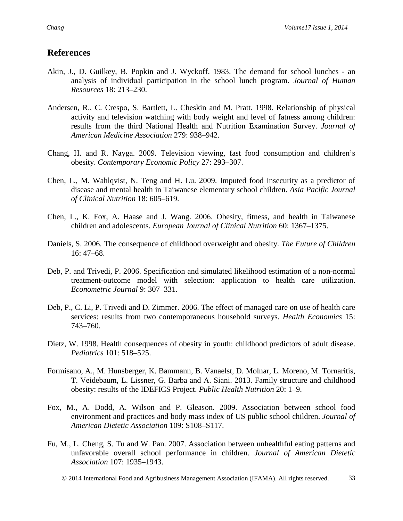### **References**

- Akin, J., D. Guilkey, B. Popkin and J. Wyckoff. 1983. The demand for school lunches an analysis of individual participation in the school lunch program. *Journal of Human Resources* 18: 213–230.
- Andersen, R., C. Crespo, S. Bartlett, L. Cheskin and M. Pratt. 1998. Relationship of physical activity and television watching with body weight and level of fatness among children: results from the third National Health and Nutrition Examination Survey. *Journal of American Medicine Association* 279: 938–942.
- Chang, H. and R. Nayga. 2009. Television viewing, fast food consumption and children's obesity. *Contemporary Economic Policy* 27: 293–307.
- Chen, L., M. Wahlqvist, N. Teng and H. Lu. 2009. Imputed food insecurity as a predictor of disease and mental health in Taiwanese elementary school children. *Asia Pacific Journal of Clinical Nutrition* 18: 605–619.
- Chen, L., K. Fox, A. Haase and J. Wang. 2006. Obesity, fitness, and health in Taiwanese children and adolescents. *European Journal of Clinical Nutrition* 60: 1367–1375.
- Daniels, S. 2006. The consequence of childhood overweight and obesity. *The Future of Children* 16: 47–68.
- Deb, P. and Trivedi, P. 2006. Specification and simulated likelihood estimation of a non-normal treatment-outcome model with selection: application to health care utilization. *Econometric Journal* 9: 307–331.
- Deb, P., C. Li, P. Trivedi and D. Zimmer. 2006. The effect of managed care on use of health care services: results from two contemporaneous household surveys. *Health Economics* 15: 743–760.
- Dietz, W. 1998. Health consequences of obesity in youth: childhood predictors of adult disease. *Pediatrics* 101: 518–525.
- Formisano, A., M. Hunsberger, K. Bammann, B. Vanaelst, D. Molnar, L. Moreno, M. Tornaritis, T. Veidebaum, L. Lissner, G. Barba and A. Siani. 2013. Family structure and childhood obesity: results of the IDEFICS Project. *Public Health Nutrition* 20: 1–9.
- Fox, M., A. Dodd, A. Wilson and P. Gleason. 2009. Association between school food environment and practices and body mass index of US public school children. *Journal of American Dietetic Association* 109: S108–S117.
- Fu, M., L. Cheng, S. Tu and W. Pan. 2007. Association between unhealthful eating patterns and unfavorable overall school performance in children. *Journal of American Dietetic Association* 107: 1935–1943.
	- 2014 International Food and Agribusiness Management Association (IFAMA). All rights reserved. 33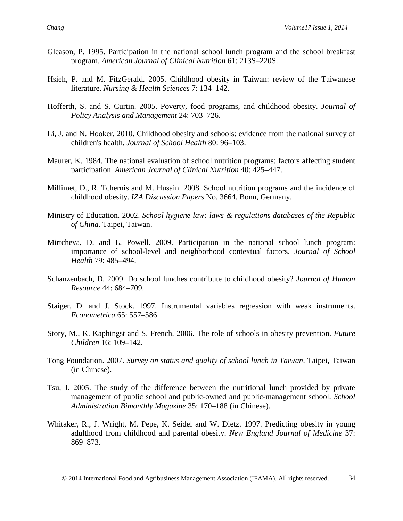- Gleason, P. 1995. Participation in the national school lunch program and the school breakfast program. *American Journal of Clinical Nutrition* 61: 213S–220S.
- Hsieh, P. and M. FitzGerald. 2005. Childhood obesity in Taiwan: review of the Taiwanese literature. *Nursing & Health Sciences* 7: 134–142.
- Hofferth, S. and S. Curtin. 2005. Poverty, food programs, and childhood obesity. *Journal of Policy Analysis and Management* 24: 703–726.
- Li, J. and N. Hooker. 2010. Childhood obesity and schools: evidence from the national survey of children's health. *Journal of School Health* 80: 96–103.
- Maurer, K. 1984. The national evaluation of school nutrition programs: factors affecting student participation. *American Journal of Clinical Nutrition* 40: 425–447.
- Millimet, D., R. Tchernis and M. Husain. 2008. School nutrition programs and the incidence of childhood obesity. *IZA Discussion Papers* No. 3664. Bonn, Germany.
- Ministry of Education. 2002. *School hygiene law: laws & regulations databases of the Republic of China*. Taipei, Taiwan.
- Mirtcheva, D. and L. Powell. 2009. Participation in the national school lunch program: importance of school-level and neighborhood contextual factors. *Journal of School Health* 79: 485–494.
- Schanzenbach, D. 2009. Do school lunches contribute to childhood obesity? *Journal of Human Resource* 44: 684–709.
- Staiger, D. and J. Stock. 1997. Instrumental variables regression with weak instruments. *Econometrica* 65: 557–586.
- Story, M., K. Kaphingst and S. French. 2006. The role of schools in obesity prevention. *Future Children* 16: 109–142.
- Tong Foundation. 2007. *Survey on status and quality of school lunch in Taiwan*. Taipei, Taiwan (in Chinese).
- Tsu, J. 2005. The study of the difference between the nutritional lunch provided by private management of public school and public-owned and public-management school. *School Administration Bimonthly Magazine* 35: 170–188 (in Chinese).
- Whitaker, R., J. Wright, M. Pepe, K. Seidel and W. Dietz. 1997. Predicting obesity in young adulthood from childhood and parental obesity. *New England Journal of Medicine* 37: 869–873.